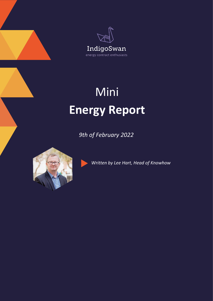



## Mini **Energy Report**

*9th of February 2022*



*Written by Lee Hart, Head of Knowhow*